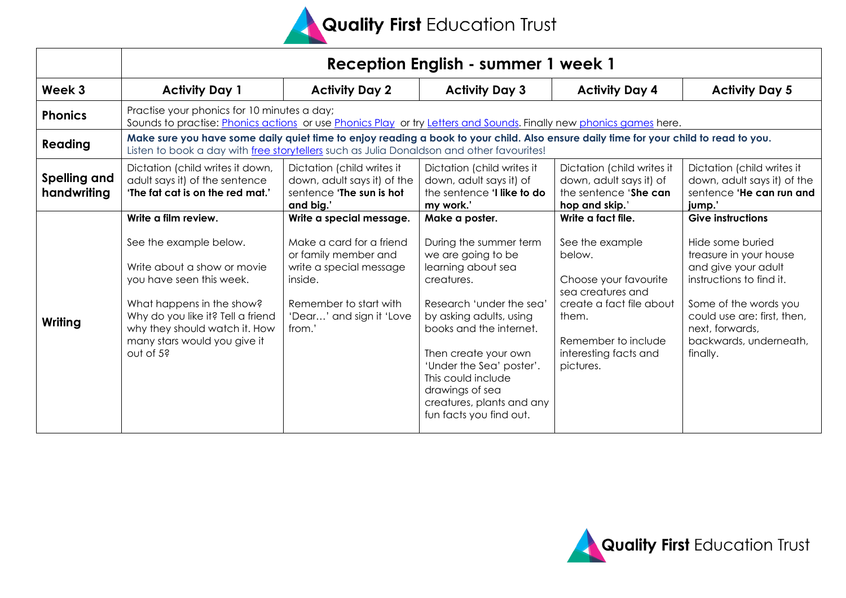

|                             | Reception English - summer 1 week 1                                                                                                                                                                                                                       |                                                                                                                                                                                    |                                                                                                                                                                                                                                                                                                                                           |                                                                                                                                                                                                 |                                                                                                                                                                                                                                            |
|-----------------------------|-----------------------------------------------------------------------------------------------------------------------------------------------------------------------------------------------------------------------------------------------------------|------------------------------------------------------------------------------------------------------------------------------------------------------------------------------------|-------------------------------------------------------------------------------------------------------------------------------------------------------------------------------------------------------------------------------------------------------------------------------------------------------------------------------------------|-------------------------------------------------------------------------------------------------------------------------------------------------------------------------------------------------|--------------------------------------------------------------------------------------------------------------------------------------------------------------------------------------------------------------------------------------------|
| Week 3                      | <b>Activity Day 1</b>                                                                                                                                                                                                                                     | <b>Activity Day 2</b>                                                                                                                                                              | <b>Activity Day 3</b>                                                                                                                                                                                                                                                                                                                     | <b>Activity Day 4</b>                                                                                                                                                                           | <b>Activity Day 5</b>                                                                                                                                                                                                                      |
| <b>Phonics</b>              | Practise your phonics for 10 minutes a day;<br>Sounds to practise: Phonics actions or use Phonics Play or try Letters and Sounds. Finally new phonics games here.                                                                                         |                                                                                                                                                                                    |                                                                                                                                                                                                                                                                                                                                           |                                                                                                                                                                                                 |                                                                                                                                                                                                                                            |
| Reading                     | Make sure you have some daily quiet time to enjoy reading a book to your child. Also ensure daily time for your child to read to you.<br>Listen to book a day with free storytellers such as Julia Donaldson and other favourites!                        |                                                                                                                                                                                    |                                                                                                                                                                                                                                                                                                                                           |                                                                                                                                                                                                 |                                                                                                                                                                                                                                            |
| Spelling and<br>handwriting | Dictation (child writes it down,<br>adult says it) of the sentence<br>'The fat cat is on the red mat.'                                                                                                                                                    | Dictation (child writes it<br>down, adult says it) of the<br>sentence 'The sun is hot<br>and big.'                                                                                 | Dictation (child writes it<br>down, adult says it) of<br>the sentence <b>'I like to do</b><br>my work.'                                                                                                                                                                                                                                   | Dictation (child writes it<br>down, adult says it) of<br>the sentence 'She can<br>hop and skip.'                                                                                                | Dictation (child writes it<br>down, adult says it) of the<br>sentence 'He can run and<br>jump.'                                                                                                                                            |
| Writing                     | Write a film review.<br>See the example below.<br>Write about a show or movie<br>you have seen this week.<br>What happens in the show?<br>Why do you like it? Tell a friend<br>why they should watch it. How<br>many stars would you give it<br>out of 5? | Write a special message.<br>Make a card for a friend<br>or family member and<br>write a special message<br>inside.<br>Remember to start with<br>'Dear' and sign it 'Love<br>from.' | Make a poster.<br>During the summer term<br>we are going to be<br>learning about sea<br>creatures.<br>Research 'under the sea'<br>by asking adults, using<br>books and the internet.<br>Then create your own<br>'Under the Sea' poster'.<br>This could include<br>drawings of sea<br>creatures, plants and any<br>fun facts you find out. | Write a fact file.<br>See the example<br>below.<br>Choose your favourite<br>sea creatures and<br>create a fact file about<br>them.<br>Remember to include<br>interesting facts and<br>pictures. | <b>Give instructions</b><br>Hide some buried<br>treasure in your house<br>and give your adult<br>instructions to find it.<br>Some of the words you<br>could use are: first, then,<br>next, forwards,<br>backwards, underneath,<br>finally. |

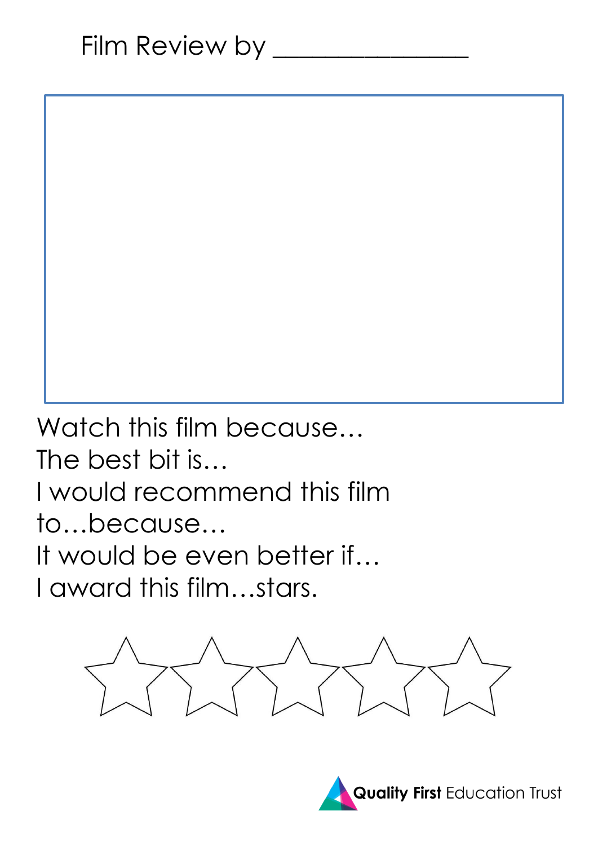Watch this film because… The best bit is… I would recommend this film to…because… It would be even better if… I award this film…stars.



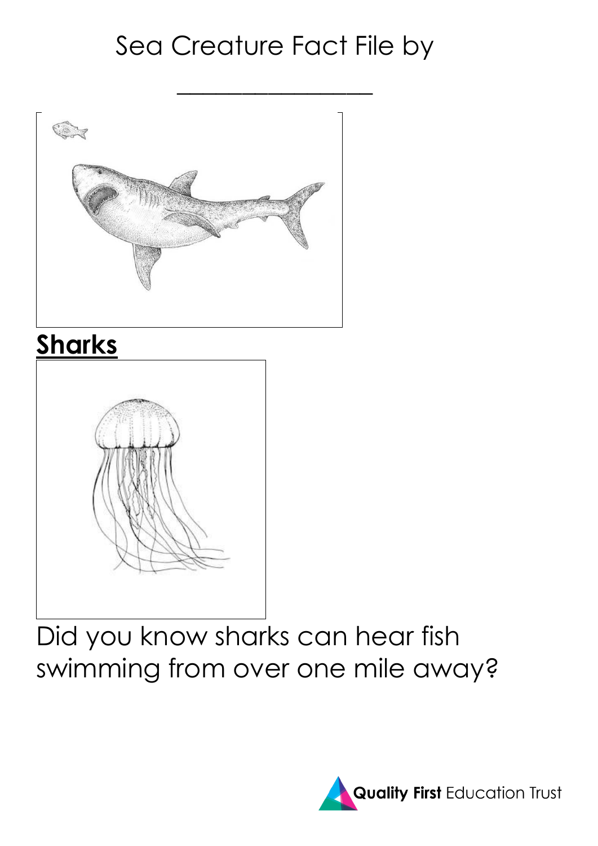## Sea Creature Fact File by



## **Sharks**



Did you know sharks can hear fish swimming from over one mile away?

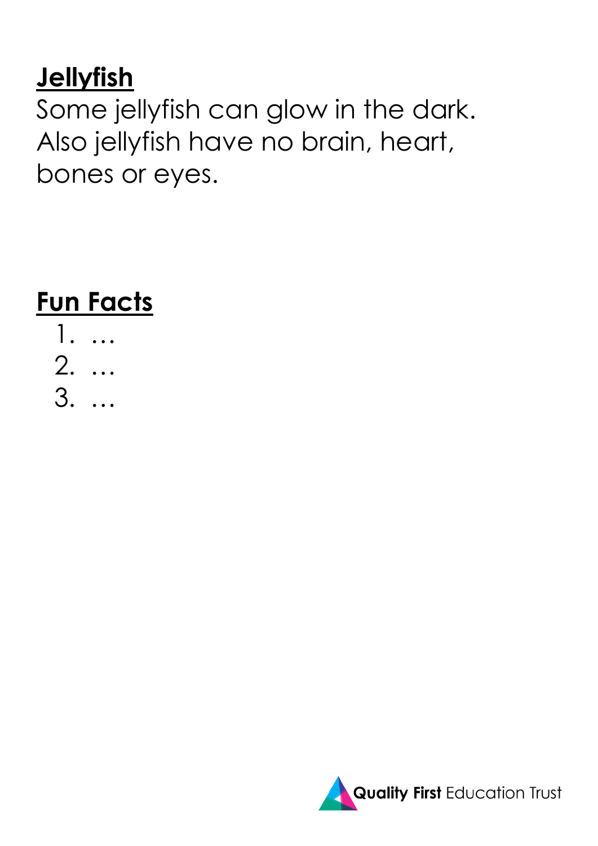## **Jellyfish**

Some jellyfish can glow in the dark. Also jellyfish have no brain, heart, bones or eyes.

**Fun Facts**

1. … 2. … 3. …